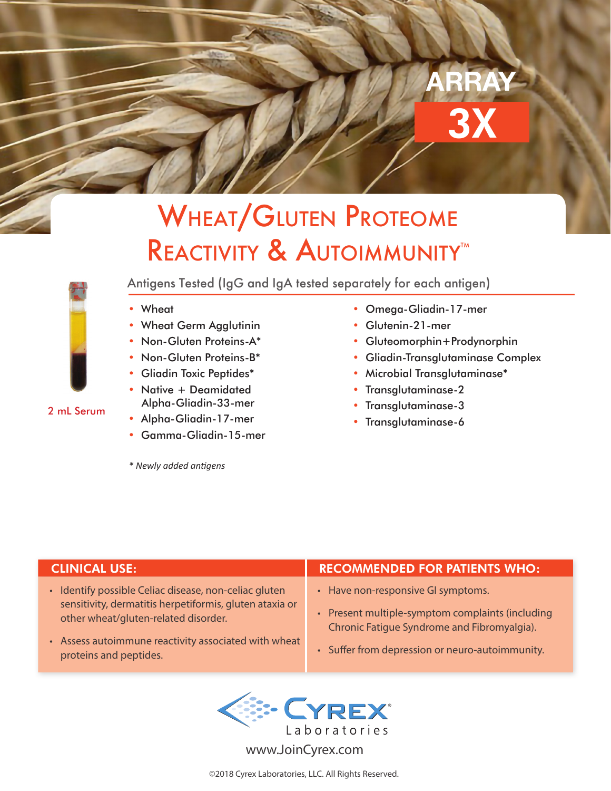# 3X ARRAY

## WHEAT/GLUTEN PROTEOME REACTIVITY & AUTOIMMUNITY<sup>M</sup>

### 2 mL Serum

- Antigens Tested (IgG and IgA tested separately for each antigen)
- **Wheat**
- Wheat Germ Agglutinin
- Non-Gluten Proteins-A\*
- Non-Gluten Proteins-B\*
- Gliadin Toxic Peptides\*
- Native + Deamidated Alpha-Gliadin-33-mer
- Alpha-Gliadin-17-mer
- Gamma-Gliadin-15-mer

*\* Newly added antigens*

- Omega-Gliadin-17-mer
- Glutenin-21-mer
- Gluteomorphin+Prodynorphin
- Gliadin-Transglutaminase Complex
- Microbial Transglutaminase\*
- Transglutaminase-2
- Transglutaminase-3
- Transglutaminase-6

- Identify possible Celiac disease, non-celiac gluten sensitivity, dermatitis herpetiformis, gluten ataxia or other wheat/gluten-related disorder.
- Assess autoimmune reactivity associated with wheat proteins and peptides.

### CLINICAL USE: RECOMMENDED FOR PATIENTS WHO:

- Have non-responsive GI symptoms.
- Present multiple-symptom complaints (including Chronic Fatigue Syndrome and Fibromyalgia).
- Suffer from depression or neuro-autoimmunity.



www.JoinCyrex.com

©2018 Cyrex Laboratories, LLC. All Rights Reserved.